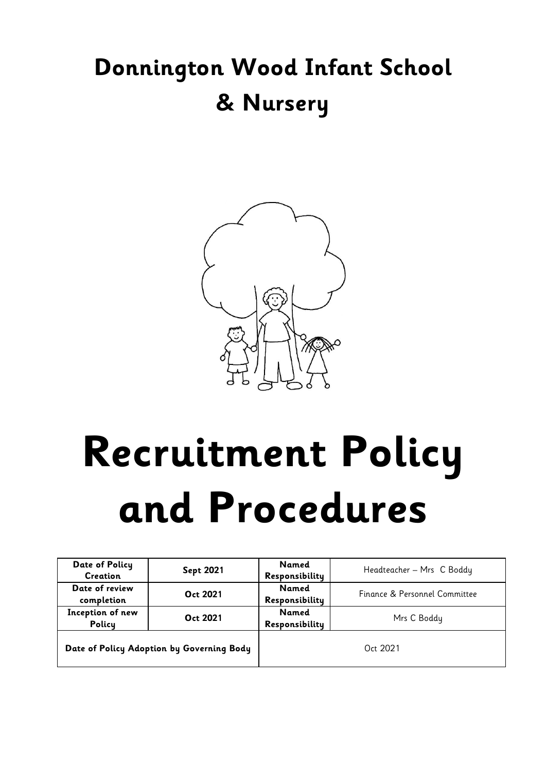# **Donnington Wood Infant School & Nursery**



# **Recruitment Policy and Procedures**

| Date of Policy<br>Creation                | <b>Sept 2021</b> | Named<br>Responsibility        | Headteacher - Mrs C Boddy     |  |
|-------------------------------------------|------------------|--------------------------------|-------------------------------|--|
| Date of review<br>completion              | Oct 2021         | <b>Named</b><br>Responsibility | Finance & Personnel Committee |  |
| Inception of new<br>Policy                | Oct 2021         | Named<br>Responsibility        | Mrs C Boddy                   |  |
| Date of Policy Adoption by Governing Body |                  | Oct 2021                       |                               |  |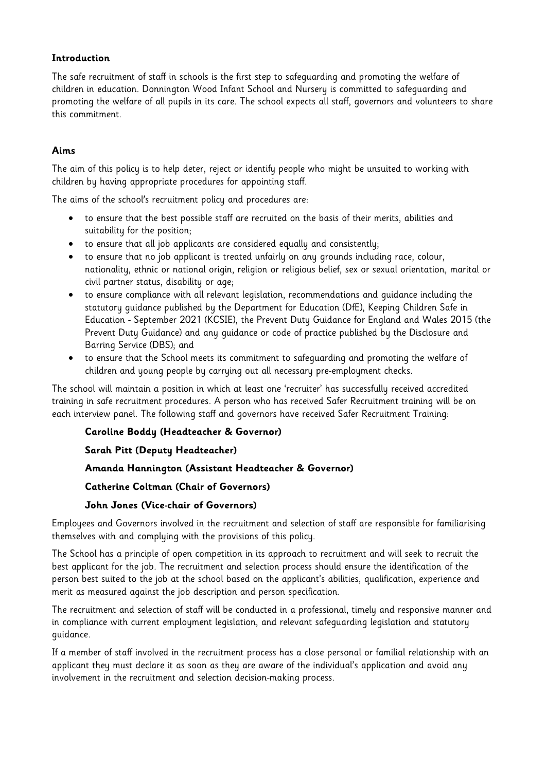#### **Introduction**

The safe recruitment of staff in schools is the first step to safeguarding and promoting the welfare of children in education. Donnington Wood Infant School and Nursery is committed to safeguarding and promoting the welfare of all pupils in its care. The school expects all staff, governors and volunteers to share this commitment.

#### **Aims**

The aim of this policy is to help deter, reject or identify people who might be unsuited to working with children by having appropriate procedures for appointing staff.

The aims of the school's recruitment policy and procedures are:

- to ensure that the best possible staff are recruited on the basis of their merits, abilities and suitability for the position;
- to ensure that all job applicants are considered equally and consistently;
- to ensure that no job applicant is treated unfairly on any grounds including race, colour, nationality, ethnic or national origin, religion or religious belief, sex or sexual orientation, marital or civil partner status, disability or age;
- to ensure compliance with all relevant legislation, recommendations and guidance including the statutory guidance published by the Department for Education (DfE), Keeping Children Safe in Education - September 2021 (KCSIE), the Prevent Duty Guidance for England and Wales 2015 (the Prevent Duty Guidance) and any guidance or code of practice published by the Disclosure and Barring Service (DBS); and
- to ensure that the School meets its commitment to safeguarding and promoting the welfare of children and young people by carrying out all necessary pre-employment checks.

The school will maintain a position in which at least one 'recruiter' has successfully received accredited training in safe recruitment procedures. A person who has received Safer Recruitment training will be on each interview panel. The following staff and governors have received Safer Recruitment Training:

#### **Caroline Boddy (Headteacher & Governor)**

#### **Sarah Pitt (Deputy Headteacher)**

#### **Amanda Hannington (Assistant Headteacher & Governor)**

#### **Catherine Coltman (Chair of Governors)**

#### **John Jones (Vice-chair of Governors)**

Employees and Governors involved in the recruitment and selection of staff are responsible for familiarising themselves with and complying with the provisions of this policy.

The School has a principle of open competition in its approach to recruitment and will seek to recruit the best applicant for the job. The recruitment and selection process should ensure the identification of the person best suited to the job at the school based on the applicant's abilities, qualification, experience and merit as measured against the job description and person specification.

The recruitment and selection of staff will be conducted in a professional, timely and responsive manner and in compliance with current employment legislation, and relevant safeguarding legislation and statutory guidance.

If a member of staff involved in the recruitment process has a close personal or familial relationship with an applicant they must declare it as soon as they are aware of the individual's application and avoid any involvement in the recruitment and selection decision-making process.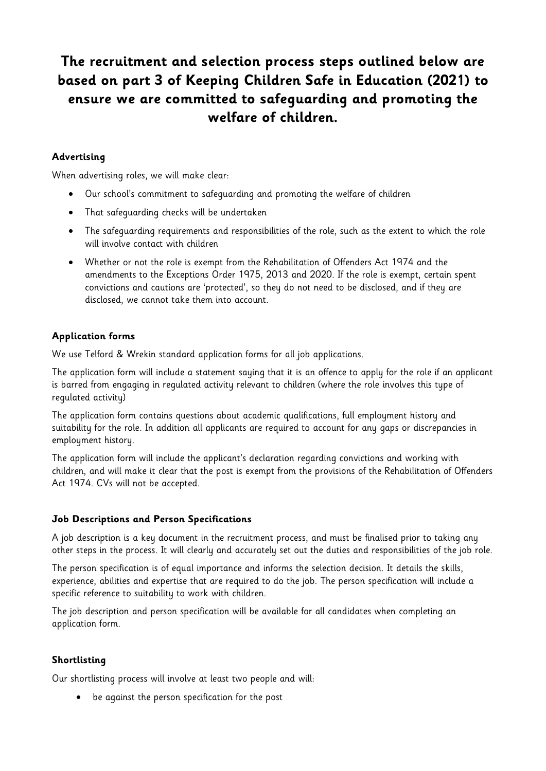## **The recruitment and selection process steps outlined below are based on part 3 of Keeping Children Safe in Education (2021) to ensure we are committed to safeguarding and promoting the welfare of children.**

#### **Advertising**

When advertising roles, we will make clear:

- Our school's commitment to safeguarding and promoting the welfare of children
- That safeguarding checks will be undertaken
- The safeguarding requirements and responsibilities of the role, such as the extent to which the role will involve contact with children
- Whether or not the role is exempt from the Rehabilitation of Offenders Act 1974 and the amendments to the Exceptions Order 1975, 2013 and 2020. If the role is exempt, certain spent convictions and cautions are 'protected', so they do not need to be disclosed, and if they are disclosed, we cannot take them into account.

#### **Application forms**

We use Telford & Wrekin standard application forms for all job applications.

The application form will include a statement saying that it is an offence to apply for the role if an applicant is barred from engaging in regulated activity relevant to children (where the role involves this type of regulated activity)

The application form contains questions about academic qualifications, full employment history and suitability for the role. In addition all applicants are required to account for any gaps or discrepancies in employment history.

The application form will include the applicant's declaration regarding convictions and working with children, and will make it clear that the post is exempt from the provisions of the Rehabilitation of Offenders Act 1974. CVs will not be accepted.

#### **Job Descriptions and Person Specifications**

A job description is a key document in the recruitment process, and must be finalised prior to taking any other steps in the process. It will clearly and accurately set out the duties and responsibilities of the job role.

The person specification is of equal importance and informs the selection decision. It details the skills, experience, abilities and expertise that are required to do the job. The person specification will include a specific reference to suitability to work with children.

The job description and person specification will be available for all candidates when completing an application form.

#### **Shortlisting**

Our shortlisting process will involve at least two people and will:

• be against the person specification for the post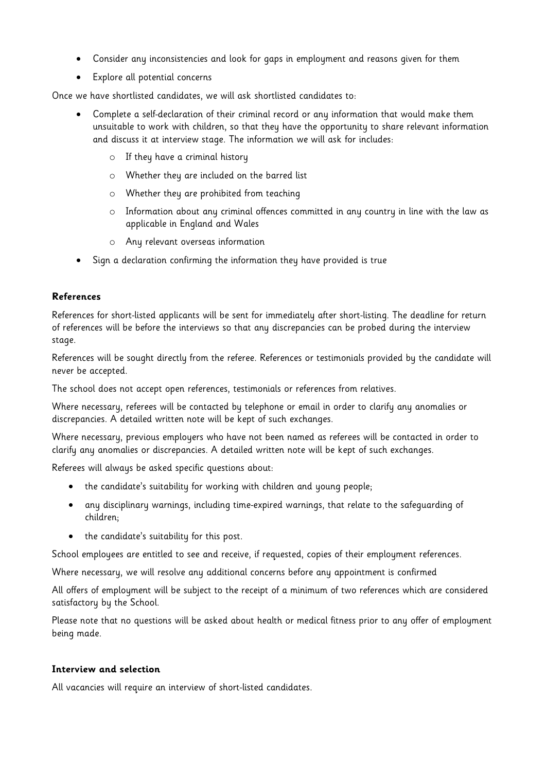- Consider any inconsistencies and look for gaps in employment and reasons given for them
- Explore all potential concerns

Once we have shortlisted candidates, we will ask shortlisted candidates to:

- Complete a self-declaration of their criminal record or any information that would make them unsuitable to work with children, so that they have the opportunity to share relevant information and discuss it at interview stage. The information we will ask for includes:
	- o If they have a criminal history
	- o Whether they are included on the barred list
	- o Whether they are prohibited from teaching
	- o Information about any criminal offences committed in any country in line with the law as applicable in England and Wales
	- o Any relevant overseas information
- Sign a declaration confirming the information they have provided is true

#### **References**

References for short-listed applicants will be sent for immediately after short-listing. The deadline for return of references will be before the interviews so that any discrepancies can be probed during the interview stage.

References will be sought directly from the referee. References or testimonials provided by the candidate will never be accepted.

The school does not accept open references, testimonials or references from relatives.

Where necessary, referees will be contacted by telephone or email in order to clarify any anomalies or discrepancies. A detailed written note will be kept of such exchanges.

Where necessary, previous employers who have not been named as referees will be contacted in order to clarify any anomalies or discrepancies. A detailed written note will be kept of such exchanges.

Referees will always be asked specific questions about:

- the candidate's suitability for working with children and young people;
- any disciplinary warnings, including time-expired warnings, that relate to the safeguarding of children;
- the candidate's suitability for this post.

School employees are entitled to see and receive, if requested, copies of their employment references.

Where necessary, we will resolve any additional concerns before any appointment is confirmed

All offers of employment will be subject to the receipt of a minimum of two references which are considered satisfactory by the School.

Please note that no questions will be asked about health or medical fitness prior to any offer of employment being made.

#### **Interview and selection**

All vacancies will require an interview of short-listed candidates.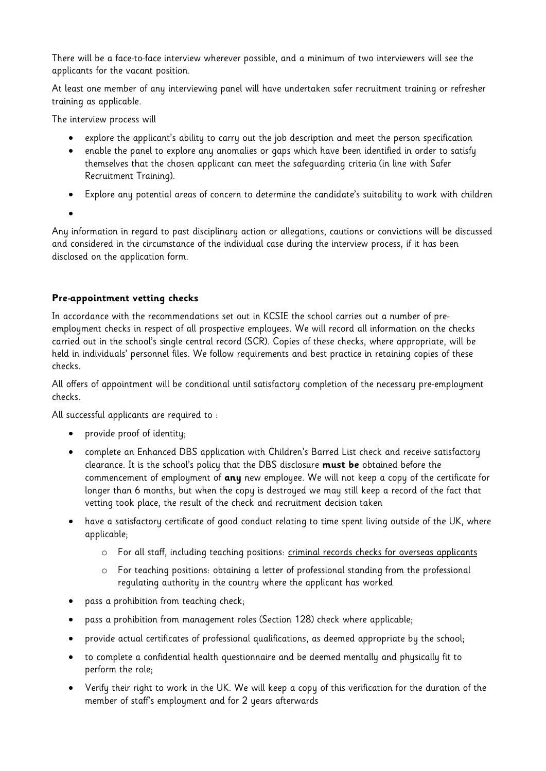There will be a face-to-face interview wherever possible, and a minimum of two interviewers will see the applicants for the vacant position.

At least one member of any interviewing panel will have undertaken safer recruitment training or refresher training as applicable.

The interview process will

- explore the applicant's ability to carry out the job description and meet the person specification
- enable the panel to explore any anomalies or gaps which have been identified in order to satisfy themselves that the chosen applicant can meet the safeguarding criteria (in line with Safer Recruitment Training).
- Explore any potential areas of concern to determine the candidate's suitability to work with children
- •

Any information in regard to past disciplinary action or allegations, cautions or convictions will be discussed and considered in the circumstance of the individual case during the interview process, if it has been disclosed on the application form.

#### **Pre-appointment vetting checks**

In accordance with the recommendations set out in KCSIE the school carries out a number of preemployment checks in respect of all prospective employees. We will record all information on the checks carried out in the school's single central record (SCR). Copies of these checks, where appropriate, will be held in individuals' personnel files. We follow requirements and best practice in retaining copies of these checks.

All offers of appointment will be conditional until satisfactory completion of the necessary pre-employment checks.

All successful applicants are required to :

- provide proof of identity;
- complete an Enhanced DBS application with Children's Barred List check and receive satisfactory clearance. It is the school's policy that the DBS disclosure **must be** obtained before the commencement of employment of **any** new employee. We will not keep a copy of the certificate for longer than 6 months, but when the copy is destroyed we may still keep a record of the fact that vetting took place, the result of the check and recruitment decision taken
- have a satisfactory certificate of good conduct relating to time spent living outside of the UK, where applicable;
	- o For all staff, including teaching positions: [criminal records checks for overseas applicants](https://www.gov.uk/government/publications/criminal-records-checks-for-overseas-applicants)
	- o For teaching positions: obtaining a letter of professional standing from the professional regulating authority in the country where the applicant has worked
- pass a prohibition from teaching check;
- pass a prohibition from management roles (Section 128) check where applicable;
- provide actual certificates of professional qualifications, as deemed appropriate by the school;
- to complete a confidential health questionnaire and be deemed mentally and physically fit to perform the role;
- Verify their right to work in the UK. We will keep a copy of this verification for the duration of the member of staff's employment and for 2 years afterwards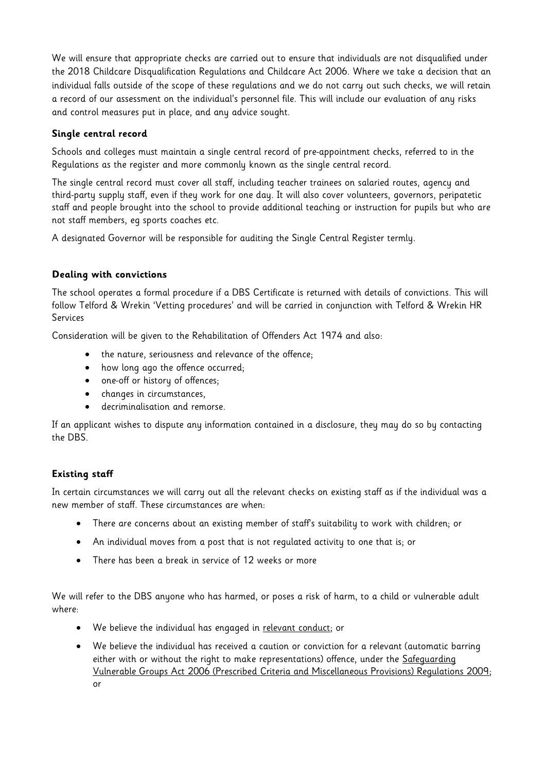We will ensure that appropriate checks are carried out to ensure that individuals are not disqualified under the 2018 Childcare Disqualification Regulations and Childcare Act 2006. Where we take a decision that an individual falls outside of the scope of these regulations and we do not carry out such checks, we will retain a record of our assessment on the individual's personnel file. This will include our evaluation of any risks and control measures put in place, and any advice sought.

#### **Single central record**

Schools and colleges must maintain a single central record of pre-appointment checks, referred to in the Regulations as the register and more commonly known as the single central record.

The single central record must cover all staff, including teacher trainees on salaried routes, agency and third-party supply staff, even if they work for one day. It will also cover volunteers, governors, peripatetic staff and people brought into the school to provide additional teaching or instruction for pupils but who are not staff members, eg sports coaches etc.

A designated Governor will be responsible for auditing the Single Central Register termly.

#### **Dealing with convictions**

The school operates a formal procedure if a DBS Certificate is returned with details of convictions. This will follow Telford & Wrekin 'Vetting procedures' and will be carried in conjunction with Telford & Wrekin HR Services

Consideration will be given to the Rehabilitation of Offenders Act 1974 and also:

- the nature, seriousness and relevance of the offence;
- how long ago the offence occurred;
- one-off or history of offences;
- changes in circumstances,
- decriminalisation and remorse.

If an applicant wishes to dispute any information contained in a disclosure, they may do so by contacting the DBS.

#### **Existing staff**

In certain circumstances we will carry out all the relevant checks on existing staff as if the individual was a new member of staff. These circumstances are when:

- There are concerns about an existing member of staff's suitability to work with children; or
- An individual moves from a post that is not regulated activity to one that is; or
- There has been a break in service of 12 weeks or more

We will refer to the DBS anyone who has harmed, or poses a risk of harm, to a child or vulnerable adult where:

- We believe the individual has engaged in [relevant conduct;](https://www.gov.uk/guidance/making-barring-referrals-to-the-dbs#relevant-conduct-in-relation-to-children) or
- We believe the individual has received a caution or conviction for a relevant (automatic barring either with or without the right to make representations) offence, under the [Safeguarding](http://www.legislation.gov.uk/uksi/2009/37/contents/made)  [Vulnerable Groups Act 2006 \(Prescribed Criteria and Miscellaneous Provisions\) Regulations 2009;](http://www.legislation.gov.uk/uksi/2009/37/contents/made) or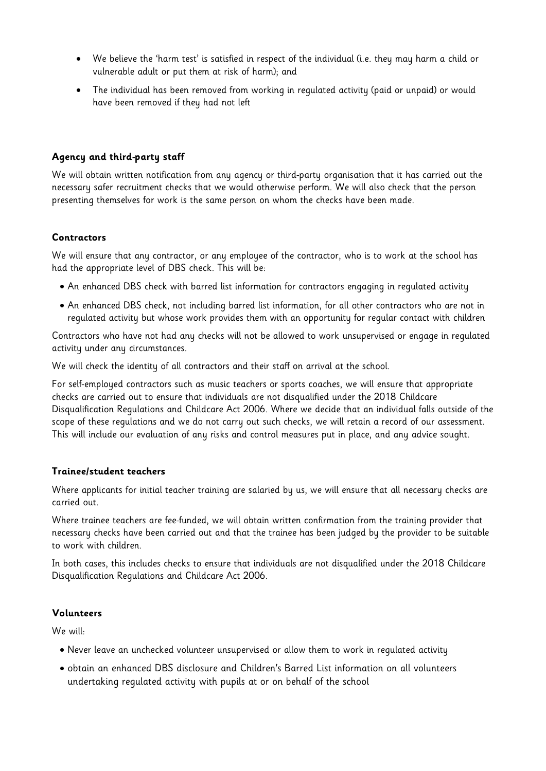- We believe the 'harm test' is satisfied in respect of the individual (i.e. they may harm a child or vulnerable adult or put them at risk of harm); and
- The individual has been removed from working in regulated activity (paid or unpaid) or would have been removed if they had not left

#### **Agency and third-party staff**

We will obtain written notification from any agency or third-party organisation that it has carried out the necessary safer recruitment checks that we would otherwise perform. We will also check that the person presenting themselves for work is the same person on whom the checks have been made.

#### **Contractors**

We will ensure that any contractor, or any employee of the contractor, who is to work at the school has had the appropriate level of DBS check. This will be:

- An enhanced DBS check with barred list information for contractors engaging in regulated activity
- An enhanced DBS check, not including barred list information, for all other contractors who are not in regulated activity but whose work provides them with an opportunity for regular contact with children

Contractors who have not had any checks will not be allowed to work unsupervised or engage in regulated activity under any circumstances.

We will check the identity of all contractors and their staff on arrival at the school.

For self-employed contractors such as music teachers or sports coaches, we will ensure that appropriate checks are carried out to ensure that individuals are not disqualified under the 2018 Childcare Disqualification Regulations and Childcare Act 2006. Where we decide that an individual falls outside of the scope of these regulations and we do not carry out such checks, we will retain a record of our assessment. This will include our evaluation of any risks and control measures put in place, and any advice sought.

#### **Trainee/student teachers**

Where applicants for initial teacher training are salaried by us, we will ensure that all necessary checks are carried out.

Where trainee teachers are fee-funded, we will obtain written confirmation from the training provider that necessary checks have been carried out and that the trainee has been judged by the provider to be suitable to work with children.

In both cases, this includes checks to ensure that individuals are not disqualified under the 2018 Childcare Disqualification Regulations and Childcare Act 2006.

#### **Volunteers**

We will:

- Never leave an unchecked volunteer unsupervised or allow them to work in regulated activity
- obtain an enhanced DBS disclosure and Children's Barred List information on all volunteers undertaking regulated activity with pupils at or on behalf of the school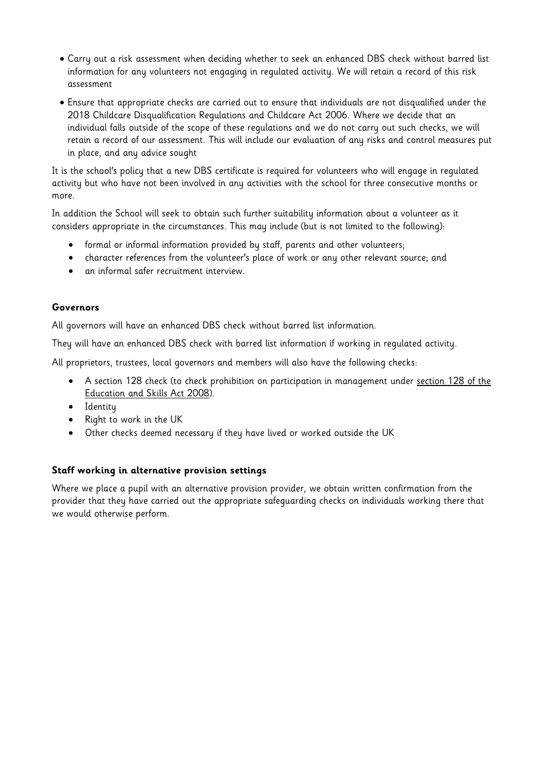- Carry out a risk assessment when deciding whether to seek an enhanced DBS check without barred list information for any volunteers not engaging in regulated activity. We will retain a record of this risk assessment
- Ensure that appropriate checks are carried out to ensure that individuals are not disqualified under the 2018 Childcare Disqualification Regulations and Childcare Act 2006. Where we decide that an individual falls outside of the scope of these regulations and we do not carry out such checks, we will retain a record of our assessment. This will include our evaluation of any risks and control measures put in place, and any advice sought

It is the school's policy that a new DBS certificate is required for volunteers who will engage in regulated activity but who have not been involved in any activities with the school for three consecutive months or more.

In addition the School will seek to obtain such further suitability information about a volunteer as it considers appropriate in the circumstances. This may include (but is not limited to the following):

- formal or informal information provided by staff, parents and other volunteers;
- character references from the volunteer's place of work or any other relevant source; and
- an informal safer recruitment interview.

#### **Governors**

All governors will have an enhanced DBS check without barred list information.

They will have an enhanced DBS check with barred list information if working in regulated activity.

All proprietors, trustees, local governors and members will also have the following checks:

- A section 128 check (to check prohibition on participation in management under section 128 of the [Education and Skills Act 2008\)](https://www.legislation.gov.uk/ukpga/2008/25/section/128).
- Identity
- Right to work in the UK
- Other checks deemed necessary if they have lived or worked outside the UK

#### **Staff working in alternative provision settings**

Where we place a pupil with an alternative provision provider, we obtain written confirmation from the provider that they have carried out the appropriate safeguarding checks on individuals working there that we would otherwise perform.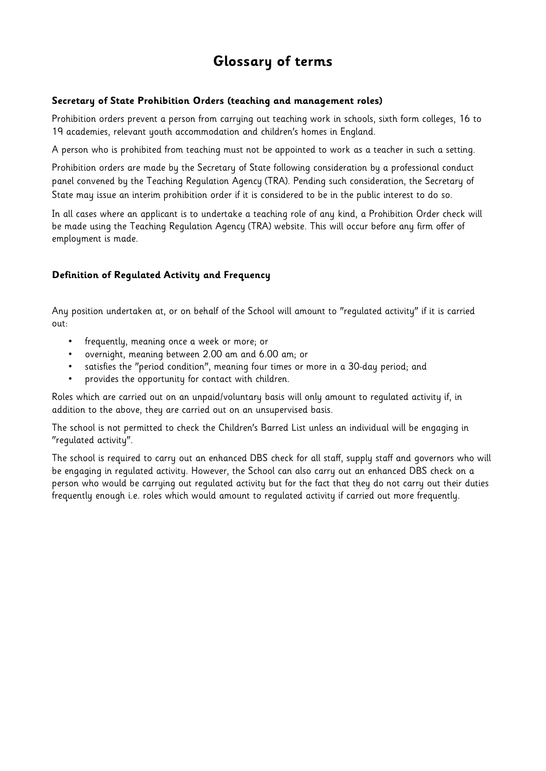### **Glossary of terms**

#### **Secretary of State Prohibition Orders (teaching and management roles)**

Prohibition orders prevent a person from carrying out teaching work in schools, sixth form colleges, 16 to 19 academies, relevant youth accommodation and children's homes in England.

A person who is prohibited from teaching must not be appointed to work as a teacher in such a setting.

Prohibition orders are made by the Secretary of State following consideration by a professional conduct panel convened by the Teaching Regulation Agency (TRA). Pending such consideration, the Secretary of State may issue an interim prohibition order if it is considered to be in the public interest to do so.

In all cases where an applicant is to undertake a teaching role of any kind, a Prohibition Order check will be made using the Teaching Regulation Agency (TRA) website. This will occur before any firm offer of employment is made.

#### **Definition of Regulated Activity and Frequency**

Any position undertaken at, or on behalf of the School will amount to "regulated activity" if it is carried out:

- frequently, meaning once a week or more; or
- overnight, meaning between 2.00 am and 6.00 am; or
- satisfies the "period condition", meaning four times or more in a 30-day period; and
- provides the opportunity for contact with children.

Roles which are carried out on an unpaid/voluntary basis will only amount to regulated activity if, in addition to the above, they are carried out on an unsupervised basis.

The school is not permitted to check the Children's Barred List unless an individual will be engaging in "regulated activity".

The school is required to carry out an enhanced DBS check for all staff, supply staff and governors who will be engaging in regulated activity. However, the School can also carry out an enhanced DBS check on a person who would be carrying out regulated activity but for the fact that they do not carry out their duties frequently enough i.e. roles which would amount to regulated activity if carried out more frequently.